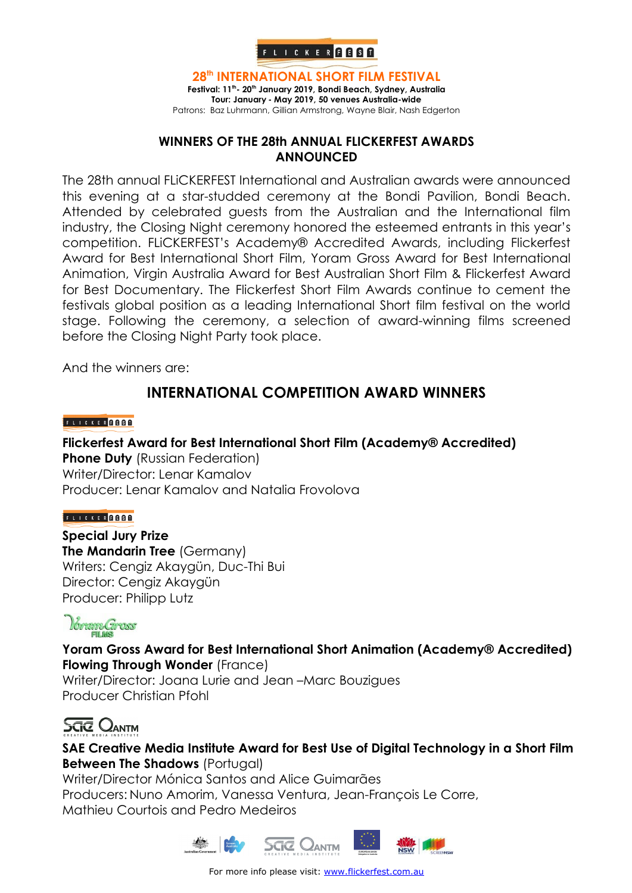

**28th INTERNATIONAL SHORT FILM FESTIVAL** Festival: 11<sup>th</sup>- 20<sup>th</sup> January 2019, Bondi Beach, Sydney, Australia **Tour: January - May 2019, 50 venues Australia-wide** Patrons: Baz Luhrmann, Gillian Armstrong, Wayne Blair, Nash Edgerton

#### **WINNERS OF THE 28th ANNUAL FLICKERFEST AWARDS ANNOUNCED**

The 28th annual FLiCKERFEST International and Australian awards were announced this evening at a star-studded ceremony at the Bondi Pavilion, Bondi Beach. Attended by celebrated guests from the Australian and the International film industry, the Closing Night ceremony honored the esteemed entrants in this year's competition. FLiCKERFEST's Academy® Accredited Awards, including Flickerfest Award for Best International Short Film, Yoram Gross Award for Best International Animation, Virgin Australia Award for Best Australian Short Film & Flickerfest Award for Best Documentary. The Flickerfest Short Film Awards continue to cement the festivals global position as a leading International Short film festival on the world stage. Following the ceremony, a selection of award-winning films screened before the Closing Night Party took place.

And the winners are:

### **INTERNATIONAL COMPETITION AWARD WINNERS**

#### FLICKER **ABBO**

**Flickerfest Award for Best International Short Film (Academy® Accredited) Phone Duty** (Russian Federation) Writer/Director: Lenar Kamalov Producer: Lenar Kamalov and Natalia Frovolova

#### FLICKER GOOD

**Special Jury Prize The Mandarin Tree** (Germany) Writers: Cengiz Akaygün, Duc-Thi Bui Director: Cengiz Akaygün Producer: Philipp Lutz

# *Vorgam Gross*

**Yoram Gross Award for Best International Short Animation (Academy® Accredited) Flowing Through Wonder** (France) Writer/Director: Joana Lurie and Jean –Marc Bouzigues Producer Christian Pfohl

## **SCTC** OANTM

**SAE Creative Media Institute Award for Best Use of Digital Technology in a Short Film Between The Shadows** (Portugal)

Writer/Director Mónica Santos and Alice Guimarães Producers: Nuno Amorim, Vanessa Ventura, Jean-François Le Corre, Mathieu Courtois and Pedro Medeiros

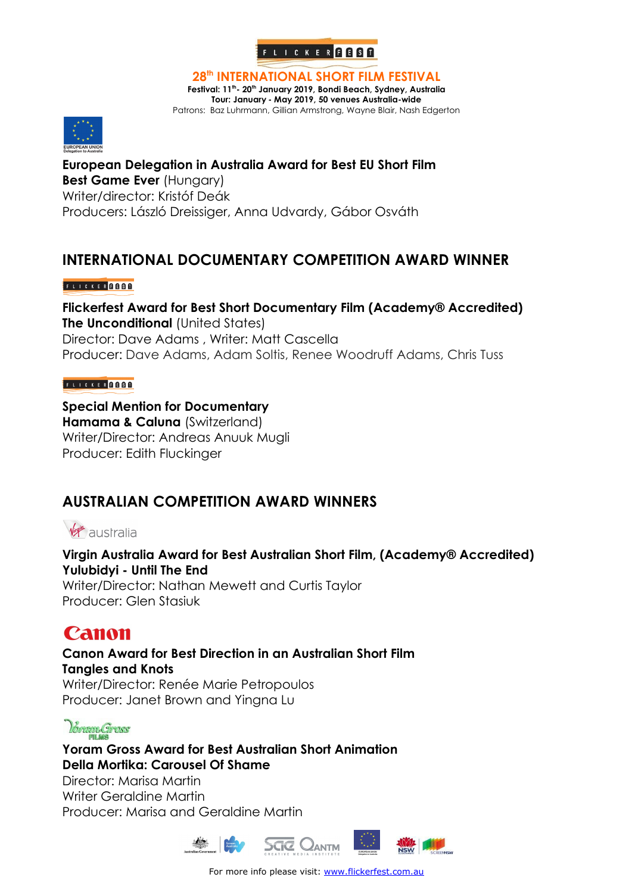

**28th INTERNATIONAL SHORT FILM FESTIVAL**

Festival: 11<sup>th</sup> - 20<sup>th</sup> January 2019, Bondi Beach, Sydney, Australia **Tour: January - May 2019, 50 venues Australia-wide**

Patrons: Baz Luhrmann, Gillian Armstrong, Wayne Blair, Nash Edgerton



**European Delegation in Australia Award for Best EU Short Film Best Game Ever (Hungary)** Writer/director: Kristóf Deák Producers: László Dreissiger, Anna Udvardy, Gábor Osváth

### **INTERNATIONAL DOCUMENTARY COMPETITION AWARD WINNER**

#### FLICKER GOOD

**Flickerfest Award for Best Short Documentary Film (Academy® Accredited) The Unconditional (United States)** Director: Dave Adams , Writer: Matt Cascella Producer: Dave Adams, Adam Soltis, Renee Woodruff Adams, Chris Tuss

#### FLICKER GOOD

#### **Special Mention for Documentary Hamama & Caluna** (Switzerland) Writer/Director: Andreas Anuuk Mugli Producer: Edith Fluckinger

### **AUSTRALIAN COMPETITION AWARD WINNERS**

# Virgin australia

**Virgin Australia Award for Best Australian Short Film, (Academy® Accredited) Yulubidyi - Until The End** 

Writer/Director: Nathan Mewett and Curtis Taylor Producer: Glen Stasiuk

# **Canon**

**Canon Award for Best Direction in an Australian Short Film Tangles and Knots** Writer/Director: Renée Marie Petropoulos Producer: Janet Brown and Yingna Lu

## Voram Gross

**Yoram Gross Award for Best Australian Short Animation Della Mortika: Carousel Of Shame** Director: Marisa Martin Writer Geraldine Martin Producer: Marisa and Geraldine Martin